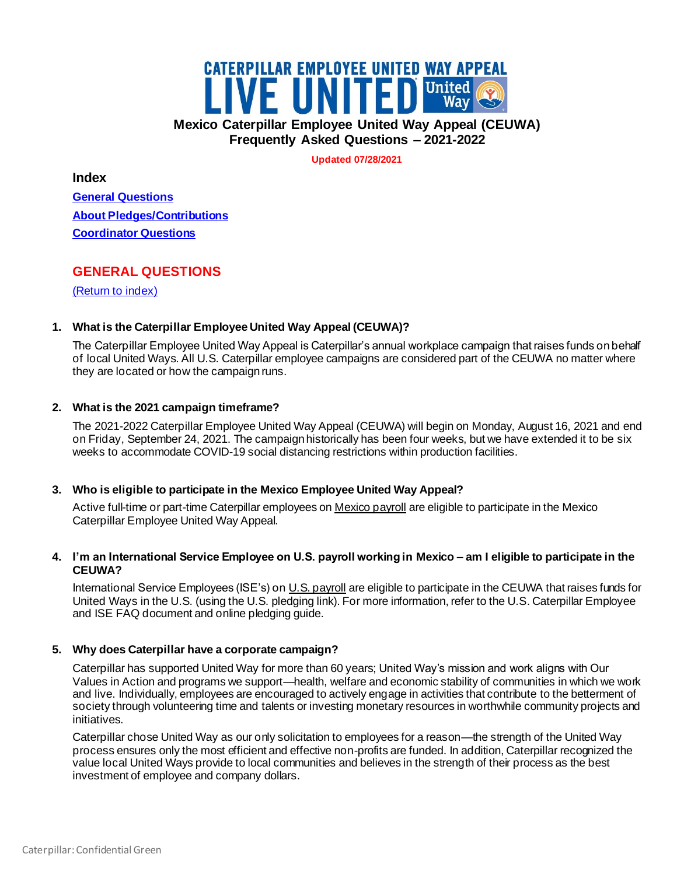# **CATERPILLAR EMPLOYEE UNITED WAY APPEAL** WE UNITED United ( **Mexico Caterpillar Employee United Way Appeal (CEUWA) Frequently Asked Questions – 2021-2022**

**Updated 07/28/2021**

<span id="page-0-1"></span>**Index** 

**[General Questions](#page-0-0) [About Pledges/Contributions](#page-1-0) Coordinator Questions**

# <span id="page-0-0"></span>**GENERAL QUESTIONS**

[\(Return to index\)](#page-0-1)

# **1. What is the Caterpillar Employee United Way Appeal (CEUWA)?**

The Caterpillar Employee United Way Appeal is Caterpillar's annual workplace campaign that raises funds on behalf of local United Ways. All U.S. Caterpillar employee campaigns are considered part of the CEUWA no matter where they are located or how the campaign runs.

# **2. What is the 2021 campaign timeframe?**

The 2021-2022 Caterpillar Employee United Way Appeal (CEUWA) will begin on Monday, August 16, 2021 and end on Friday, September 24, 2021. The campaign historically has been four weeks, but we have extended it to be six weeks to accommodate COVID-19 social distancing restrictions within production facilities.

# **3. Who is eligible to participate in the Mexico Employee United Way Appeal?**

Active full-time or part-time Caterpillar employees on Mexico payroll are eligible to participate in the Mexico Caterpillar Employee United Way Appeal.

# **4. I'm an International Service Employee on U.S. payroll working in Mexico – am I eligible to participate in the CEUWA?**

International Service Employees (ISE's) on U.S. payroll are eligible to participate in the CEUWA that raises funds for United Ways in the U.S. (using the U.S. pledging link). For more information, refer to the U.S. Caterpillar Employee and ISE FAQ document and online pledging guide.

# **5. Why does Caterpillar have a corporate campaign?**

Caterpillar has supported United Way for more than 60 years; United Way's mission and work aligns with Our Values in Action and programs we support—health, welfare and economic stability of communities in which we work and live. Individually, employees are encouraged to actively engage in activities that contribute to the betterment of society through volunteering time and talents or investing monetary resources in worthwhile community projects and initiatives.

Caterpillar chose United Way as our only solicitation to employees for a reason—the strength of the United Way process ensures only the most efficient and effective non-profits are funded. In addition, Caterpillar recognized the value local United Ways provide to local communities and believes in the strength of their process as the best investment of employee and company dollars.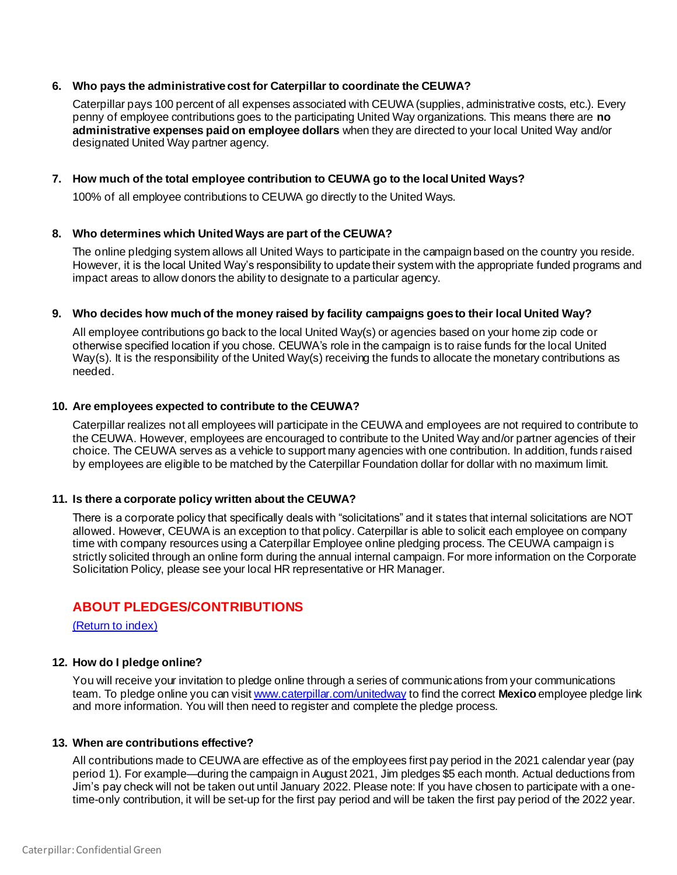#### **6. Who pays the administrative cost for Caterpillar to coordinate the CEUWA?**

Caterpillar pays 100 percent of all expenses associated with CEUWA (supplies, administrative costs, etc.). Every penny of employee contributions goes to the participating United Way organizations. This means there are **no administrative expenses paid on employee dollars** when they are directed to your local United Way and/or designated United Way partner agency.

#### **7. How much of the total employee contribution to CEUWA go to the local United Ways?**

100% of all employee contributions to CEUWA go directly to the United Ways.

#### **8. Who determines which United Ways are part of the CEUWA?**

The online pledging system allows all United Ways to participate in the campaign based on the country you reside. However, it is the local United Way's responsibility to update their system with the appropriate funded programs and impact areas to allow donors the ability to designate to a particular agency.

#### **9. Who decides how much of the money raised by facility campaigns goes to their local United Way?**

All employee contributions go back to the local United Way(s) or agencies based on your home zip code or otherwise specified location if you chose. CEUWA's role in the campaign is to raise funds for the local United Way(s). It is the responsibility of the United Way(s) receiving the funds to allocate the monetary contributions as needed.

#### **10. Are employees expected to contribute to the CEUWA?**

Caterpillar realizes not all employees will participate in the CEUWA and employees are not required to contribute to the CEUWA. However, employees are encouraged to contribute to the United Way and/or partner agencies of their choice. The CEUWA serves as a vehicle to support many agencies with one contribution. In addition, funds raised by employees are eligible to be matched by the Caterpillar Foundation dollar for dollar with no maximum limit.

#### **11. Is there a corporate policy written about the CEUWA?**

There is a corporate policy that specifically deals with "solicitations" and it states that internal solicitations are NOT allowed. However, CEUWA is an exception to that policy. Caterpillar is able to solicit each employee on company time with company resources using a Caterpillar Employee online pledging process. The CEUWA campaign is strictly solicited through an online form during the annual internal campaign. For more information on the Corporate Solicitation Policy, please see your local HR representative or HR Manager.

# <span id="page-1-0"></span>**ABOUT PLEDGES/CONTRIBUTIONS**

[\(Return to index\)](#page-0-1)

# **12. How do I pledge online?**

You will receive your invitation to pledge online through a series of communications from your communications team. To pledge online you can visi[t www.caterpillar.com/unitedway](http://www.caterpillar.com/unitedway) to find the correct **Mexico** employee pledge link and more information. You will then need to register and complete the pledge process.

#### **13. When are contributions effective?**

All contributions made to CEUWA are effective as of the employees first pay period in the 2021 calendar year (pay period 1). For example—during the campaign in August 2021, Jim pledges \$5 each month. Actual deductions from Jim's pay check will not be taken out until January 2022. Please note: If you have chosen to participate with a onetime-only contribution, it will be set-up for the first pay period and will be taken the first pay period of the 2022 year.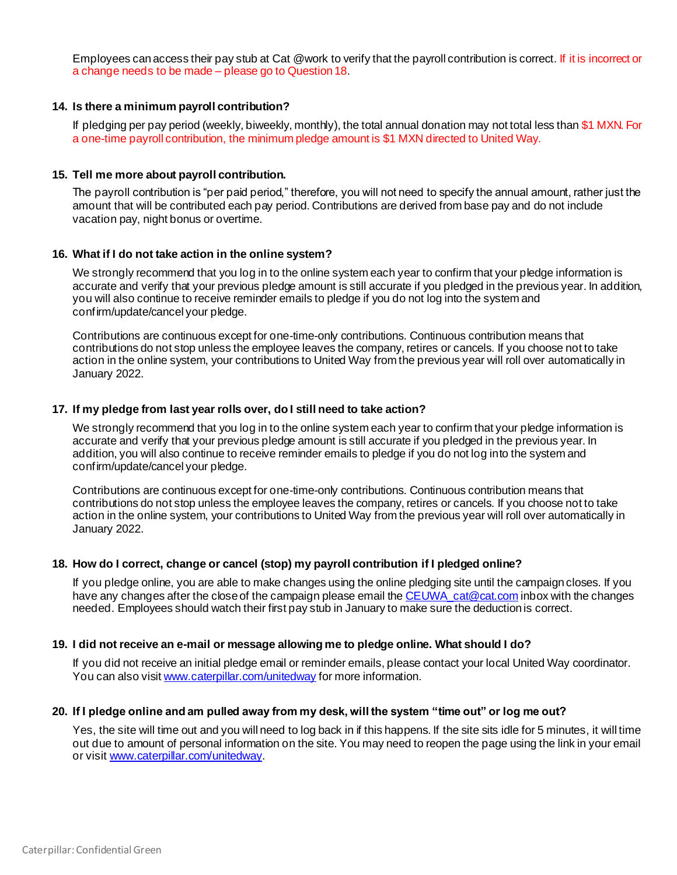Employees can access their pay stub at Cat @work to verify that the payroll contribution is correct. If it is incorrect or a change needs to be made – please go to Question 18.

#### **14. Is there a minimum payroll contribution?**

If pledging per pay period (weekly, biweekly, monthly), the total annual donation may not total less than \$1 MXN. For a one-time payroll contribution, the minimum pledge amount is \$1 MXN directed to United Way.

#### **15. Tell me more about payroll contribution.**

The payroll contribution is "per paid period," therefore, you will not need to specify the annual amount, rather just the amount that will be contributed each pay period. Contributions are derived from base pay and do not include vacation pay, night bonus or overtime.

#### **16. What if I do not take action in the online system?**

We strongly recommend that you log in to the online system each year to confirm that your pledge information is accurate and verify that your previous pledge amount is still accurate if you pledged in the previous year. In addition, you will also continue to receive reminder emails to pledge if you do not log into the system and confirm/update/cancel your pledge.

Contributions are continuous except for one-time-only contributions. Continuous contribution means that contributions do not stop unless the employee leaves the company, retires or cancels. If you choose not to take action in the online system, your contributions to United Way from the previous year will roll over automatically in January 2022.

#### **17. If my pledge from last year rolls over, do I still need to take action?**

We strongly recommend that you log in to the online system each year to confirm that your pledge information is accurate and verify that your previous pledge amount is still accurate if you pledged in the previous year. In addition, you will also continue to receive reminder emails to pledge if you do not log into the system and confirm/update/cancel your pledge.

Contributions are continuous except for one-time-only contributions. Continuous contribution means that contributions do not stop unless the employee leaves the company, retires or cancels. If you choose not to take action in the online system, your contributions to United Way from the previous year will roll over automatically in January 2022.

#### **18. How do I correct, change or cancel (stop) my payroll contribution if I pledged online?**

If you pledge online, you are able to make changes using the online pledging site until the campaign closes. If you have any changes after the close of the campaign please email the CEUWA cat@cat.com inbox with the changes needed. Employees should watch their first pay stub in January to make sure the deduction is correct.

#### **19. I did not receive an e-mail or message allowing me to pledge online. What should I do?**

If you did not receive an initial pledge email or reminder emails, please contact your local United Way coordinator. You can also vis[it www.caterpillar.com/unitedway](http://www.caterpillar.com/unitedway) for more information.

#### **20. If I pledge online and am pulled away from my desk, will the system "time out" or log me out?**

Yes, the site will time out and you will need to log back in if this happens. If the site sits idle for 5 minutes, it will time out due to amount of personal information on the site. You may need to reopen the page using the link in your email or visi[t www.caterpillar.com/unitedway](http://www.caterpillar.com/unitedway).